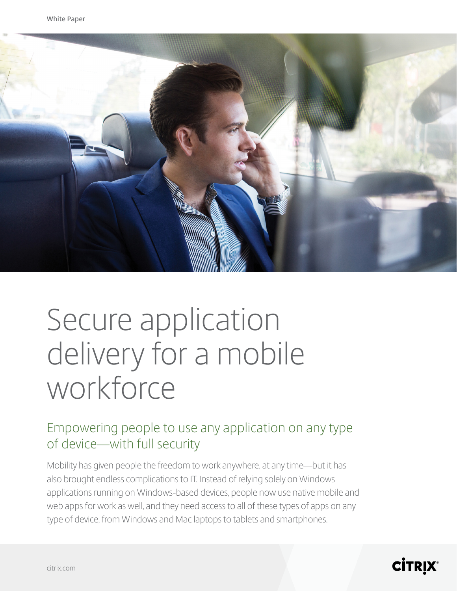

# Secure application delivery for a mobile workforce

### Empowering people to use any application on any type of device—with full security

Mobility has given people the freedom to work anywhere, at any time—but it has also brought endless complications to IT. Instead of relying solely on Windows applications running on Windows-based devices, people now use native mobile and web apps for work as well, and they need access to all of these types of apps on any type of device, from Windows and Mac laptops to tablets and smartphones.

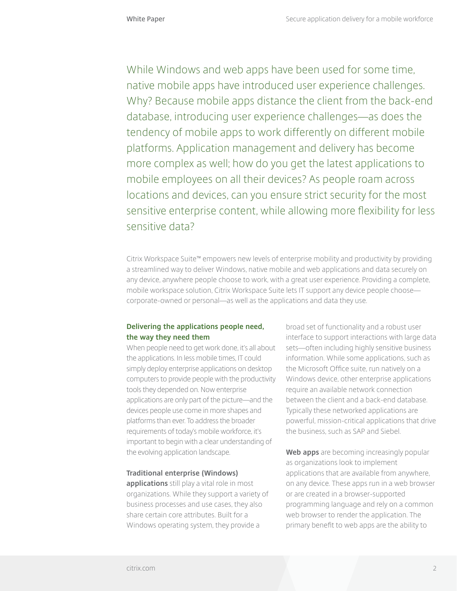While Windows and web apps have been used for some time, native mobile apps have introduced user experience challenges. Why? Because mobile apps distance the client from the back-end database, introducing user experience challenges—as does the tendency of mobile apps to work differently on different mobile platforms. Application management and delivery has become more complex as well; how do you get the latest applications to mobile employees on all their devices? As people roam across locations and devices, can you ensure strict security for the most sensitive enterprise content, while allowing more flexibility for less sensitive data?

Citrix Workspace Suite™ empowers new levels of enterprise mobility and productivity by providing a streamlined way to deliver Windows, native mobile and web applications and data securely on any device, anywhere people choose to work, with a great user experience. Providing a complete, mobile workspace solution, Citrix Workspace Suite lets IT support any device people choose corporate-owned or personal—as well as the applications and data they use.

#### **Delivering the applications people need, the way they need them**

When people need to get work done, it's all about the applications. In less mobile times, IT could simply deploy enterprise applications on desktop computers to provide people with the productivity tools they depended on. Now enterprise applications are only part of the picture—and the devices people use come in more shapes and platforms than ever. To address the broader requirements of today's mobile workforce, it's important to begin with a clear understanding of the evolving application landscape.

#### **Traditional enterprise (Windows)**

**applications** still play a vital role in most organizations. While they support a variety of business processes and use cases, they also share certain core attributes. Built for a Windows operating system, they provide a

broad set of functionality and a robust user interface to support interactions with large data sets—often including highly sensitive business information. While some applications, such as the Microsoft Office suite, run natively on a Windows device, other enterprise applications require an available network connection between the client and a back-end database. Typically these networked applications are powerful, mission-critical applications that drive the business, such as SAP and Siebel.

**Web apps** are becoming increasingly popular as organizations look to implement applications that are available from anywhere, on any device. These apps run in a web browser or are created in a browser-supported programming language and rely on a common web browser to render the application. The primary benefit to web apps are the ability to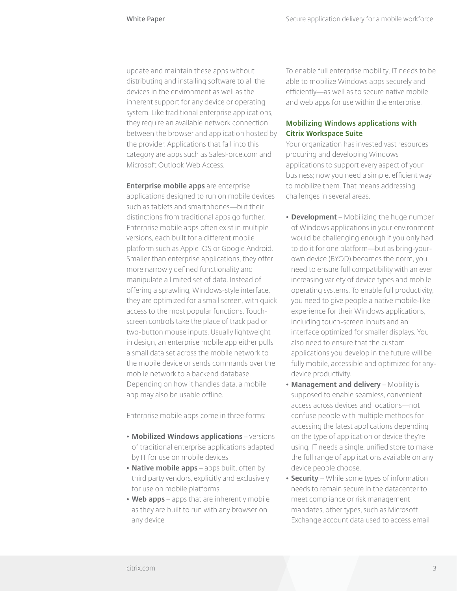update and maintain these apps without distributing and installing software to all the devices in the environment as well as the inherent support for any device or operating system. Like traditional enterprise applications, they require an available network connection between the browser and application hosted by the provider. Applications that fall into this category are apps such as SalesForce.com and Microsoft Outlook Web Access.

**Enterprise mobile apps** are enterprise applications designed to run on mobile devices such as tablets and smartphones—but their distinctions from traditional apps go further. Enterprise mobile apps often exist in multiple versions, each built for a different mobile platform such as Apple iOS or Google Android. Smaller than enterprise applications, they offer more narrowly defined functionality and manipulate a limited set of data. Instead of offering a sprawling, Windows-style interface, they are optimized for a small screen, with quick access to the most popular functions. Touchscreen controls take the place of track pad or two-button mouse inputs. Usually lightweight in design, an enterprise mobile app either pulls a small data set across the mobile network to the mobile device or sends commands over the mobile network to a backend database. Depending on how it handles data, a mobile app may also be usable offline.

Enterprise mobile apps come in three forms:

- **• Mobilized Windows applications** versions of traditional enterprise applications adapted by IT for use on mobile devices
- **• Native mobile apps** apps built, often by third party vendors, explicitly and exclusively for use on mobile platforms
- **• Web apps** apps that are inherently mobile as they are built to run with any browser on any device

To enable full enterprise mobility, IT needs to be able to mobilize Windows apps securely and efficiently—as well as to secure native mobile and web apps for use within the enterprise.

#### **Mobilizing Windows applications with Citrix Workspace Suite**

Your organization has invested vast resources procuring and developing Windows applications to support every aspect of your business; now you need a simple, efficient way to mobilize them. That means addressing challenges in several areas.

- **• Development** Mobilizing the huge number of Windows applications in your environment would be challenging enough if you only had to do it for one platform—but as bring-yourown device (BYOD) becomes the norm, you need to ensure full compatibility with an ever increasing variety of device types and mobile operating systems. To enable full productivity, you need to give people a native mobile-like experience for their Windows applications, including touch-screen inputs and an interface optimized for smaller displays. You also need to ensure that the custom applications you develop in the future will be fully mobile, accessible and optimized for anydevice productivity.
- **• Management and delivery** Mobility is supposed to enable seamless, convenient access across devices and locations—not confuse people with multiple methods for accessing the latest applications depending on the type of application or device they're using. IT needs a single, unified store to make the full range of applications available on any device people choose.
- **• Security**  While some types of information needs to remain secure in the datacenter to meet compliance or risk management mandates, other types, such as Microsoft Exchange account data used to access email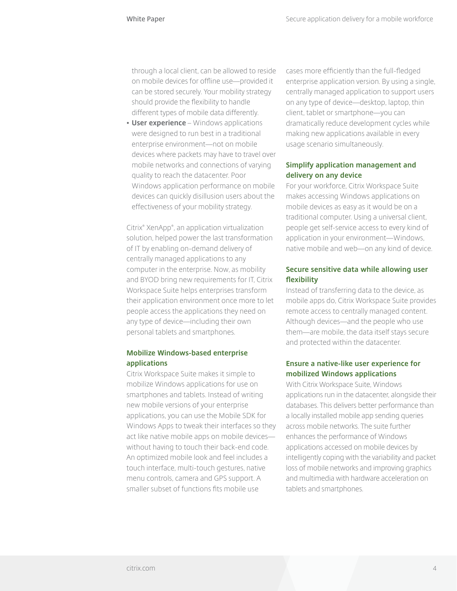through a local client, can be allowed to reside on mobile devices for offline use—provided it can be stored securely. Your mobility strategy should provide the flexibility to handle different types of mobile data differently.

**• User experience** – Windows applications were designed to run best in a traditional enterprise environment—not on mobile devices where packets may have to travel over mobile networks and connections of varying quality to reach the datacenter. Poor Windows application performance on mobile devices can quickly disillusion users about the effectiveness of your mobility strategy.

Citrix® XenApp® , an application virtualization solution, helped power the last transformation of IT by enabling on-demand delivery of centrally managed applications to any computer in the enterprise. Now, as mobility and BYOD bring new requirements for IT, Citrix Workspace Suite helps enterprises transform their application environment once more to let people access the applications they need on any type of device—including their own personal tablets and smartphones.

#### **Mobilize Windows-based enterprise applications**

Citrix Workspace Suite makes it simple to mobilize Windows applications for use on smartphones and tablets. Instead of writing new mobile versions of your enterprise applications, you can use the Mobile SDK for Windows Apps to tweak their interfaces so they act like native mobile apps on mobile devices without having to touch their back-end code. An optimized mobile look and feel includes a touch interface, multi-touch gestures, native menu controls, camera and GPS support. A smaller subset of functions fits mobile use

cases more efficiently than the full-fledged enterprise application version. By using a single, centrally managed application to support users on any type of device—desktop, laptop, thin client, tablet or smartphone—you can dramatically reduce development cycles while making new applications available in every usage scenario simultaneously.

#### **Simplify application management and delivery on any device**

For your workforce, Citrix Workspace Suite makes accessing Windows applications on mobile devices as easy as it would be on a traditional computer. Using a universal client, people get self-service access to every kind of application in your environment—Windows, native mobile and web—on any kind of device.

#### **Secure sensitive data while allowing user flexibility**

Instead of transferring data to the device, as mobile apps do, Citrix Workspace Suite provides remote access to centrally managed content. Although devices—and the people who use them—are mobile, the data itself stays secure and protected within the datacenter.

#### **Ensure a native-like user experience for mobilized Windows applications**

With Citrix Workspace Suite, Windows applications run in the datacenter, alongside their databases. This delivers better performance than a locally installed mobile app sending queries across mobile networks. The suite further enhances the performance of Windows applications accessed on mobile devices by intelligently coping with the variability and packet loss of mobile networks and improving graphics and multimedia with hardware acceleration on tablets and smartphones.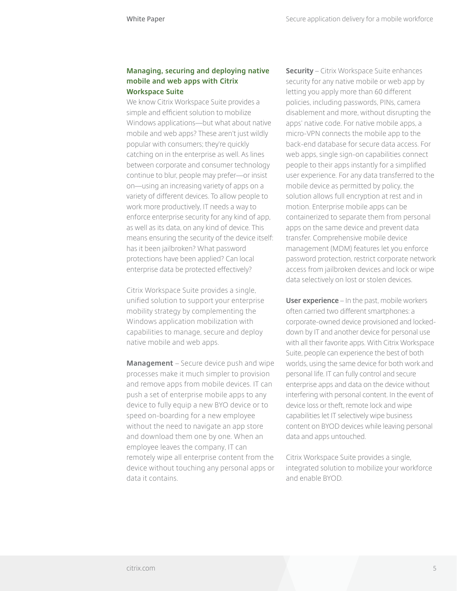#### **Managing, securing and deploying native mobile and web apps with Citrix Workspace Suite**

We know Citrix Workspace Suite provides a simple and efficient solution to mobilize Windows applications—but what about native mobile and web apps? These aren't just wildly popular with consumers; they're quickly catching on in the enterprise as well. As lines between corporate and consumer technology continue to blur, people may prefer—or insist on—using an increasing variety of apps on a variety of different devices. To allow people to work more productively, IT needs a way to enforce enterprise security for any kind of app, as well as its data, on any kind of device. This means ensuring the security of the device itself: has it been jailbroken? What password protections have been applied? Can local enterprise data be protected effectively?

Citrix Workspace Suite provides a single, unified solution to support your enterprise mobility strategy by complementing the Windows application mobilization with capabilities to manage, secure and deploy native mobile and web apps.

**Management** – Secure device push and wipe processes make it much simpler to provision and remove apps from mobile devices. IT can push a set of enterprise mobile apps to any device to fully equip a new BYO device or to speed on-boarding for a new employee without the need to navigate an app store and download them one by one. When an employee leaves the company, IT can remotely wipe all enterprise content from the device without touching any personal apps or data it contains.

**Security** – Citrix Workspace Suite enhances security for any native mobile or web app by letting you apply more than 60 different policies, including passwords, PINs, camera disablement and more, without disrupting the apps' native code. For native mobile apps, a micro-VPN connects the mobile app to the back-end database for secure data access. For web apps, single sign-on capabilities connect people to their apps instantly for a simplified user experience. For any data transferred to the mobile device as permitted by policy, the solution allows full encryption at rest and in motion. Enterprise mobile apps can be containerized to separate them from personal apps on the same device and prevent data transfer. Comprehensive mobile device management (MDM) features let you enforce password protection, restrict corporate network access from jailbroken devices and lock or wipe data selectively on lost or stolen devices.

**User experience** – In the past, mobile workers often carried two different smartphones: a corporate-owned device provisioned and lockeddown by IT and another device for personal use with all their favorite apps. With Citrix Workspace Suite, people can experience the best of both worlds, using the same device for both work and personal life. IT can fully control and secure enterprise apps and data on the device without interfering with personal content. In the event of device loss or theft, remote lock and wipe capabilities let IT selectively wipe business content on BYOD devices while leaving personal data and apps untouched.

Citrix Workspace Suite provides a single, integrated solution to mobilize your workforce and enable BYOD.